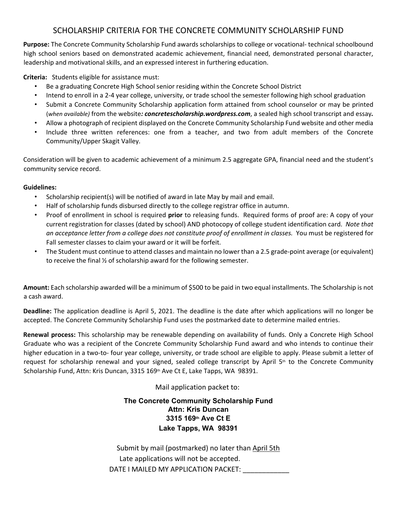### SCHOLARSHIP CRITERIA FOR THE CONCRETE COMMUNITY SCHOLARSHIP FUND

**Purpose:** The Concrete Community Scholarship Fund awards scholarships to college or vocational- technical schoolbound high school seniors based on demonstrated academic achievement, financial need, demonstrated personal character, leadership and motivational skills, and an expressed interest in furthering education.

**Criteria:** Students eligible for assistance must:

- Be a graduating Concrete High School senior residing within the Concrete School District
- Intend to enroll in a 2-4 year college, university, or trade school the semester following high school graduation
- Submit a Concrete Community Scholarship application form attained from school counselor or may be printed (*when available)* from the website*: concretescholarship.wordpress.com*, a sealed high school transcript and essay*.*
- Allow a photograph of recipient displayed on the Concrete Community Scholarship Fund website and other media
- Include three written references: one from a teacher, and two from adult members of the Concrete Community/Upper Skagit Valley.

Consideration will be given to academic achievement of a minimum 2.5 aggregate GPA, financial need and the student's community service record.

#### **Guidelines:**

- Scholarship recipient(s) will be notified of award in late May by mail and email.
- Half of scholarship funds disbursed directly to the college registrar office in autumn.
- Proof of enrollment in school is required **prior** to releasing funds. Required forms of proof are: A copy of your current registration for classes (dated by school) AND photocopy of college student identification card. *Note that an acceptance letter from a college does not constitute proof of enrollment in classes.* You must be registered for Fall semester classes to claim your award or it will be forfeit.
- The Student must continue to attend classes and maintain no lower than a 2.5 grade-point average (or equivalent) to receive the final ½ of scholarship award for the following semester.

**Amount:** Each scholarship awarded will be a minimum of \$500 to be paid in two equal installments. The Scholarship is not a cash award.

**Deadline:** The application deadline is April 5, 2021. The deadline is the date after which applications will no longer be accepted. The Concrete Community Scholarship Fund uses the postmarked date to determine mailed entries.

**Renewal process:** This scholarship may be renewable depending on availability of funds. Only a Concrete High School Graduate who was a recipient of the Concrete Community Scholarship Fund award and who intends to continue their higher education in a two-to- four year college, university, or trade school are eligible to apply. Please submit a letter of request for scholarship renewal and your signed, sealed college transcript by April  $5<sup>th</sup>$  to the Concrete Community Scholarship Fund, Attn: Kris Duncan, 3315 169th Ave Ct E, Lake Tapps, WA 98391.

### Mail application packet to:

### **The Concrete Community Scholarship Fund Attn: Kris Duncan 3315 169th Ave Ct E Lake Tapps, WA 98391**

 Submit by mail (postmarked) no later than April 5th Late applications will not be accepted. DATE I MAILED MY APPLICATION PACKET: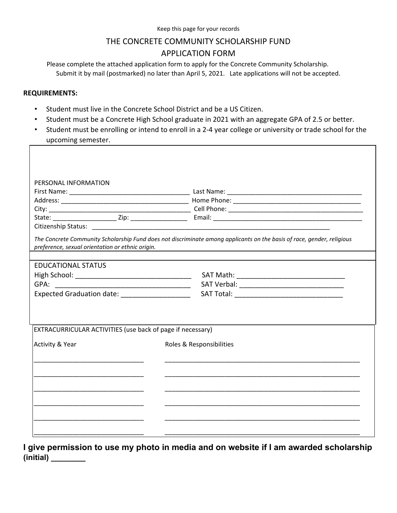## THE CONCRETE COMMUNITY SCHOLARSHIP FUND APPLICATION FORM

Please complete the attached application form to apply for the Concrete Community Scholarship. Submit it by mail (postmarked) no later than April 5, 2021. Late applications will not be accepted.

### **REQUIREMENTS:**

ľ

- Student must live in the Concrete School District and be a US Citizen.
- Student must be a Concrete High School graduate in 2021 with an aggregate GPA of 2.5 or better.
- Student must be enrolling or intend to enroll in a 2-4 year college or university or trade school for the upcoming semester.

| PERSONAL INFORMATION                                       |                                                                                                                                                                                 |
|------------------------------------------------------------|---------------------------------------------------------------------------------------------------------------------------------------------------------------------------------|
|                                                            |                                                                                                                                                                                 |
|                                                            |                                                                                                                                                                                 |
|                                                            |                                                                                                                                                                                 |
|                                                            |                                                                                                                                                                                 |
|                                                            |                                                                                                                                                                                 |
| preference, sexual orientation or ethnic origin.           | The Concrete Community Scholarship Fund does not discriminate among applicants on the basis of race, gender, religious<br><u> 1989 - Johann Stein, fransk politik (f. 1989)</u> |
| <b>EDUCATIONAL STATUS</b>                                  |                                                                                                                                                                                 |
|                                                            |                                                                                                                                                                                 |
|                                                            |                                                                                                                                                                                 |
|                                                            |                                                                                                                                                                                 |
| EXTRACURRICULAR ACTIVITIES (use back of page if necessary) |                                                                                                                                                                                 |
| Activity & Year                                            | Roles & Responsibilities                                                                                                                                                        |
|                                                            |                                                                                                                                                                                 |
|                                                            |                                                                                                                                                                                 |
|                                                            |                                                                                                                                                                                 |
|                                                            |                                                                                                                                                                                 |
|                                                            |                                                                                                                                                                                 |
|                                                            |                                                                                                                                                                                 |
|                                                            |                                                                                                                                                                                 |

**I give permission to use my photo in media and on website if I am awarded scholarship (initial) \_\_\_\_\_\_\_\_**